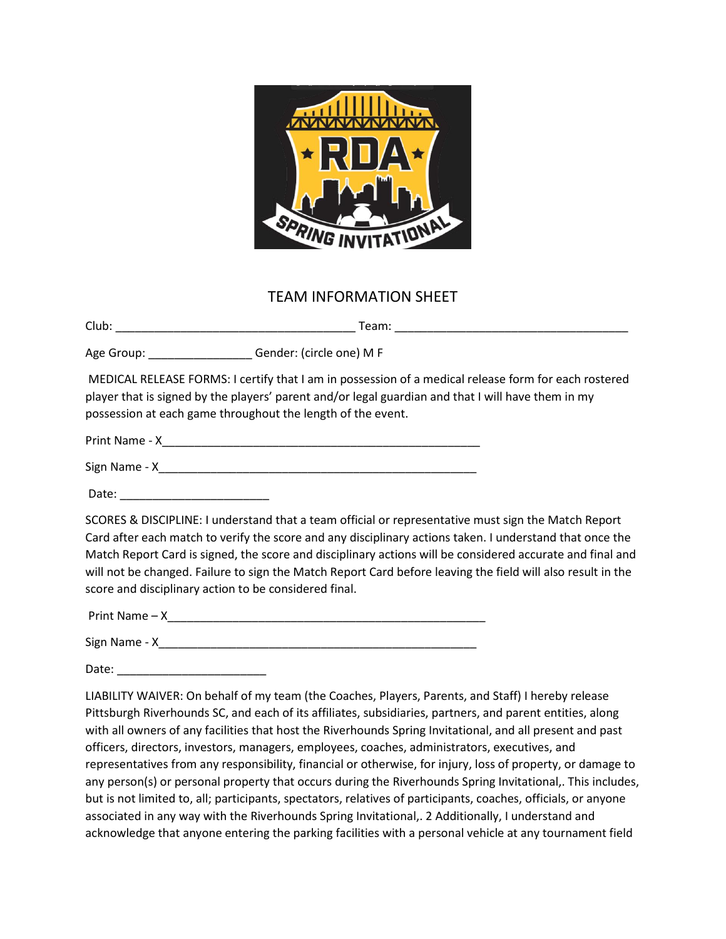

## TEAM INFORMATION SHEET

Club: \_\_\_\_\_\_\_\_\_\_\_\_\_\_\_\_\_\_\_\_\_\_\_\_\_\_\_\_\_\_\_\_\_\_\_\_\_ Team: \_\_\_\_\_\_\_\_\_\_\_\_\_\_\_\_\_\_\_\_\_\_\_\_\_\_\_\_\_\_\_\_\_\_\_\_ Age Group:  $\Box$  Gender: (circle one) M F MEDICAL RELEASE FORMS: I certify that I am in possession of a medical release form for each rostered player that is signed by the players' parent and/or legal guardian and that I will have them in my possession at each game throughout the length of the event. Print Name - X\_\_\_\_\_\_\_\_\_\_\_\_\_\_\_\_\_\_\_\_\_\_\_\_\_\_\_\_\_\_\_\_\_\_\_\_\_\_\_\_\_\_\_\_\_\_\_\_\_ Sign Name - X\_\_\_\_\_\_\_\_\_\_\_\_\_\_\_\_\_\_\_\_\_\_\_\_\_\_\_\_\_\_\_\_\_\_\_\_\_\_\_\_\_\_\_\_\_\_\_\_\_ Date: SCORES & DISCIPLINE: I understand that a team official or representative must sign the Match Report Card after each match to verify the score and any disciplinary actions taken. I understand that once the Match Report Card is signed, the score and disciplinary actions will be considered accurate and final and will not be changed. Failure to sign the Match Report Card before leaving the field will also result in the score and disciplinary action to be considered final. Print Name – X\_\_\_\_\_\_\_\_\_\_\_\_\_\_\_\_\_\_\_\_\_\_\_\_\_\_\_\_\_\_\_\_\_\_\_\_\_\_\_\_\_\_\_\_\_\_\_\_\_ Sign Name - X\_\_\_\_\_\_\_\_\_\_\_\_\_\_\_\_\_\_\_\_\_\_\_\_\_\_\_\_\_\_\_\_\_\_\_\_\_\_\_\_\_\_\_\_\_\_\_\_\_ Date: \_\_\_\_\_\_\_\_\_\_\_\_\_\_\_\_\_\_\_\_\_\_\_ LIABILITY WAIVER: On behalf of my team (the Coaches, Players, Parents, and Staff) I hereby release Pittsburgh Riverhounds SC, and each of its affiliates, subsidiaries, partners, and parent entities, along with all owners of any facilities that host the Riverhounds Spring Invitational, and all present and past officers, directors, investors, managers, employees, coaches, administrators, executives, and

representatives from any responsibility, financial or otherwise, for injury, loss of property, or damage to any person(s) or personal property that occurs during the Riverhounds Spring Invitational,. This includes, but is not limited to, all; participants, spectators, relatives of participants, coaches, officials, or anyone associated in any way with the Riverhounds Spring Invitational,. 2 Additionally, I understand and acknowledge that anyone entering the parking facilities with a personal vehicle at any tournament field